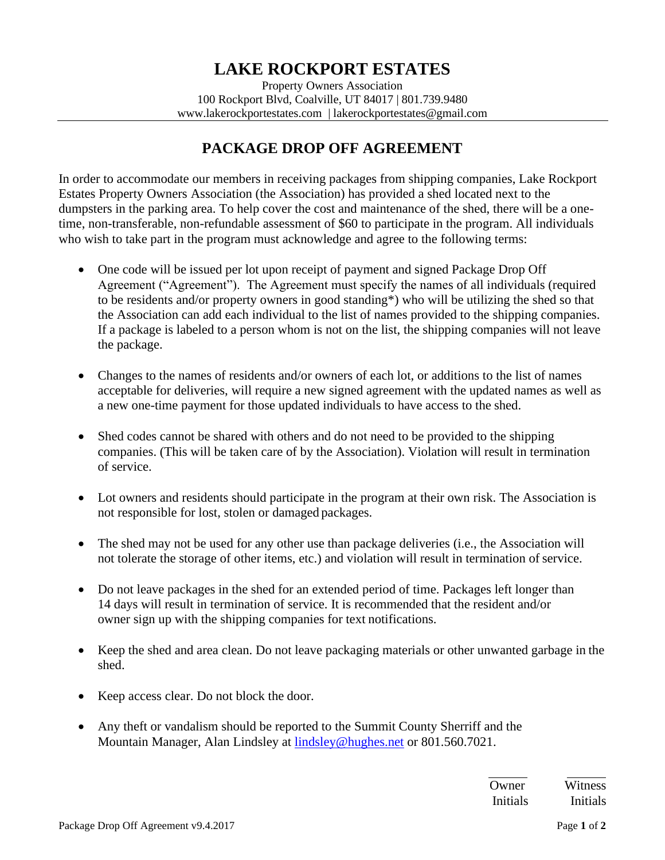Property Owners Association 100 Rockport Blvd, Coalville, UT 84017 | 801.739.9480 [www.lakerockportestates.com](http://www.lakerockportestates.com/) | [lakerockportestates@gmail.com](mailto:lakerockportestates@gmail.com)

## **PACKAGE DROP OFF AGREEMENT**

In order to accommodate our members in receiving packages from shipping companies, Lake Rockport Estates Property Owners Association (the Association) has provided a shed located next to the dumpsters in the parking area. To help cover the cost and maintenance of the shed, there will be a onetime, non-transferable, non-refundable assessment of \$60 to participate in the program. All individuals who wish to take part in the program must acknowledge and agree to the following terms:

- One code will be issued per lot upon receipt of payment and signed Package Drop Off Agreement ("Agreement"). The Agreement must specify the names of all individuals (required to be residents and/or property owners in good standing\*) who will be utilizing the shed so that the Association can add each individual to the list of names provided to the shipping companies. If a package is labeled to a person whom is not on the list, the shipping companies will not leave the package.
- Changes to the names of residents and/or owners of each lot, or additions to the list of names acceptable for deliveries, will require a new signed agreement with the updated names as well as a new one-time payment for those updated individuals to have access to the shed.
- Shed codes cannot be shared with others and do not need to be provided to the shipping companies. (This will be taken care of by the Association). Violation will result in termination of service.
- Lot owners and residents should participate in the program at their own risk. The Association is not responsible for lost, stolen or damaged packages.
- The shed may not be used for any other use than package deliveries (i.e., the Association will not tolerate the storage of other items, etc.) and violation will result in termination of service.
- Do not leave packages in the shed for an extended period of time. Packages left longer than 14 days will result in termination of service. It is recommended that the resident and/or owner sign up with the shipping companies for text notifications.
- Keep the shed and area clean. Do not leave packaging materials or other unwanted garbage in the shed.
- Keep access clear. Do not block the door.
- Any theft or vandalism should be reported to the Summit County Sherriff and the Mountain Manager, Alan Lindsley at [lindsley@hughes.net](mailto:lindsley@hughes.net) or 801.560.7021.

| Owner           | Witness  |
|-----------------|----------|
| <b>Initials</b> | Initials |